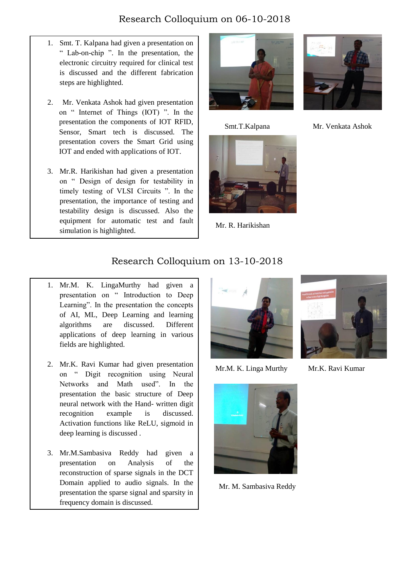## Research Colloquium on 06-10-2018

- 1. Smt. T. Kalpana had given a presentation on " Lab-on-chip ". In the presentation, the electronic circuitry required for clinical test is discussed and the different fabrication steps are highlighted.
- I 5. 2. Mr. Venkata Ashok had given presentation on " Internet of Things (IOT) ". In the presentation the components of IOT RFID, Sensor, Smart tech is discussed. The presentation covers the Smart Grid using IOT and ended with applications of IOT.
	- 3. Mr.R. Harikishan had given a presentation on " Design of design for testability in timely testing of VLSI Circuits ". In the presentation, the importance of testing and testability design is discussed. Also the equipment for automatic test and fault simulation is highlighted.





Mr. R. Harikishan



Smt.T.Kalpana Mr. Venkata Ashok

## Research Colloquium on 13-10-2018

- 1. Mr.M. K. LingaMurthy had given a presentation on " Introduction to Deep Learning". In the presentation the concepts of AI, ML, Deep Learning and learning algorithms are discussed. Different applications of deep learning in various fields are highlighted.
- 2. Mr.K. Ravi Kumar had given presentation on " Digit recognition using Neural Networks and Math used". In the presentation the basic structure of Deep neural network with the Hand- written digit recognition example is discussed. Activation functions like ReLU, sigmoid in deep learning is discussed .
- 3. Mr.M.Sambasiva Reddy had given a presentation on Analysis of the reconstruction of sparse signals in the DCT Domain applied to audio signals. In the presentation the sparse signal and sparsity in frequency domain is discussed.



Mr.M. K. Linga Murthy Mr.K. Ravi Kumar



Mr. M. Sambasiva Reddy